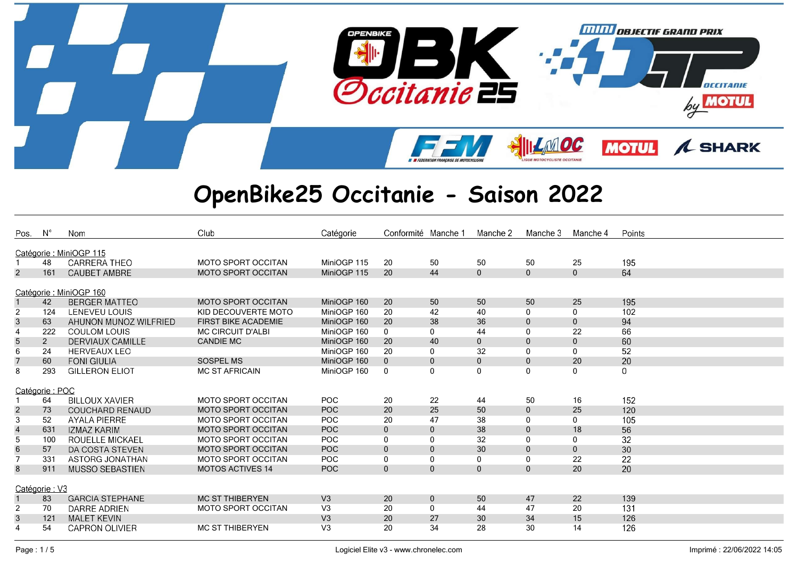

| Pos.                    | $N^{\circ}$    | Nom                     | Club                       | Catégorie      | Conformité Manche 1 |              | Manche 2     | Manche 3     | Manche 4     | Points |
|-------------------------|----------------|-------------------------|----------------------------|----------------|---------------------|--------------|--------------|--------------|--------------|--------|
|                         |                | Catégorie : MiniOGP 115 |                            |                |                     |              |              |              |              |        |
|                         | 48             | <b>CARRERA THEO</b>     | <b>MOTO SPORT OCCITAN</b>  | MiniOGP 115    | 20                  | 50           | 50           | 50           | 25           | 195    |
| $\overline{2}$          | 161            | <b>CAUBET AMBRE</b>     | <b>MOTO SPORT OCCITAN</b>  | MiniOGP 115    | 20                  | 44           | $\mathbf{0}$ | $\mathbf{0}$ | $\mathbf 0$  | 64     |
|                         |                |                         |                            |                |                     |              |              |              |              |        |
|                         |                | Catégorie : MiniOGP 160 |                            |                |                     |              |              |              |              |        |
|                         | 42             | <b>BERGER MATTEO</b>    | <b>MOTO SPORT OCCITAN</b>  | MiniOGP 160    | 20                  | 50           | 50           | 50           | 25           | 195    |
| $\overline{2}$          | 124            | LENEVEU LOUIS           | KID DECOUVERTE MOTO        | MiniOGP 160    | 20                  | 42           | 40           | 0            | $\mathbf{0}$ | 102    |
| 3                       | 63             | AHUNON MUNOZ WILFRIED   | <b>FIRST BIKE ACADEMIE</b> | MiniOGP 160    | 20                  | 38           | 36           | $\mathbf{0}$ | $\mathbf{0}$ | 94     |
|                         | 222            | <b>COULOM LOUIS</b>     | <b>MC CIRCUIT D'ALBI</b>   | MiniOGP 160    | 0                   | 0            | 44           |              | 22           | 66     |
| $\overline{5}$          | $\overline{2}$ | DERVIAUX CAMILLE        | <b>CANDIE MC</b>           | MiniOGP 160    | 20                  | 40           | $\mathbf{0}$ | $\mathbf{0}$ | $\mathbf 0$  | 60     |
| 6                       | 24             | <b>HERVEAUX LEO</b>     |                            | MiniOGP 160    | 20                  | 0            | 32           | 0            | 0            | 52     |
| $\overline{7}$          | 60             | <b>FONI GIULIA</b>      | <b>SOSPEL MS</b>           | MiniOGP 160    | $\mathbf{0}$        | $\mathbf 0$  | $\mathbf{0}$ | $\mathbf{0}$ | 20           | 20     |
| 8                       | 293            | <b>GILLERON ELIOT</b>   | <b>MC ST AFRICAIN</b>      | MiniOGP 160    | $\mathbf 0$         | 0            | 0            | $\Omega$     | 0            | 0      |
|                         |                |                         |                            |                |                     |              |              |              |              |        |
|                         | Catégorie: POC |                         |                            |                |                     |              |              |              |              |        |
|                         | 64             | <b>BILLOUX XAVIER</b>   | <b>MOTO SPORT OCCITAN</b>  | <b>POC</b>     | 20                  | 22           | 44           | 50           | 16           | 152    |
| $\frac{2}{3}$           | 73             | <b>COUCHARD RENAUD</b>  | <b>MOTO SPORT OCCITAN</b>  | <b>POC</b>     | 20                  | 25           | 50           | $\mathbf{0}$ | 25           | 120    |
|                         | 52             | <b>AYALA PIERRE</b>     | <b>MOTO SPORT OCCITAN</b>  | POC            | 20                  | 47           | 38           | $\Omega$     | 0            | 105    |
| $\overline{\mathbf{r}}$ | 631            | <b>IZMAZ KARIM</b>      | <b>MOTO SPORT OCCITAN</b>  | <b>POC</b>     | $\mathbf{0}$        | $\mathbf{0}$ | 38           | $\Omega$     | 18           | 56     |
| 5                       | 100            | ROUELLE MICKAEL         | <b>MOTO SPORT OCCITAN</b>  | POC            | 0                   | 0            | 32           | $\Omega$     | 0            | 32     |
| $\,6\,$                 | 57             | DA COSTA STEVEN         | <b>MOTO SPORT OCCITAN</b>  | <b>POC</b>     | $\mathbf 0$         | $\mathbf 0$  | 30           | $\mathbf{0}$ | $\mathbf{0}$ | 30     |
| $\overline{7}$          | 331            | ASTORG JONATHAN         | <b>MOTO SPORT OCCITAN</b>  | <b>POC</b>     | 0                   | 0            | 0            | 0            | 22           | 22     |
| 8                       | 911            | <b>MUSSO SEBASTIEN</b>  | <b>MOTOS ACTIVES 14</b>    | POC            | $\mathbf{0}$        | $\mathbf{0}$ | $\mathbf{0}$ | $\mathbf{0}$ | 20           | 20     |
|                         |                |                         |                            |                |                     |              |              |              |              |        |
|                         | Catégorie: V3  |                         |                            |                |                     |              |              |              |              |        |
|                         | 83             | <b>GARCIA STEPHANE</b>  | <b>MC ST THIBERYEN</b>     | V <sub>3</sub> | 20                  | $\mathbf 0$  | 50           | 47           | 22           | 139    |
| $\overline{2}$          | 70             | <b>DARRE ADRIEN</b>     | <b>MOTO SPORT OCCITAN</b>  | V <sub>3</sub> | 20                  | 0            | 44           | 47           | 20           | 131    |
| $\mathbf{3}$            | 121            | <b>MALET KEVIN</b>      |                            | V <sub>3</sub> | 20                  | 27           | 30           | 34           | 15           | 126    |
| $\overline{4}$          | 54             | <b>CAPRON OLIVIER</b>   | <b>MC ST THIBERYEN</b>     | V <sub>3</sub> | 20                  | 34           | 28           | 30           | 14           | 126    |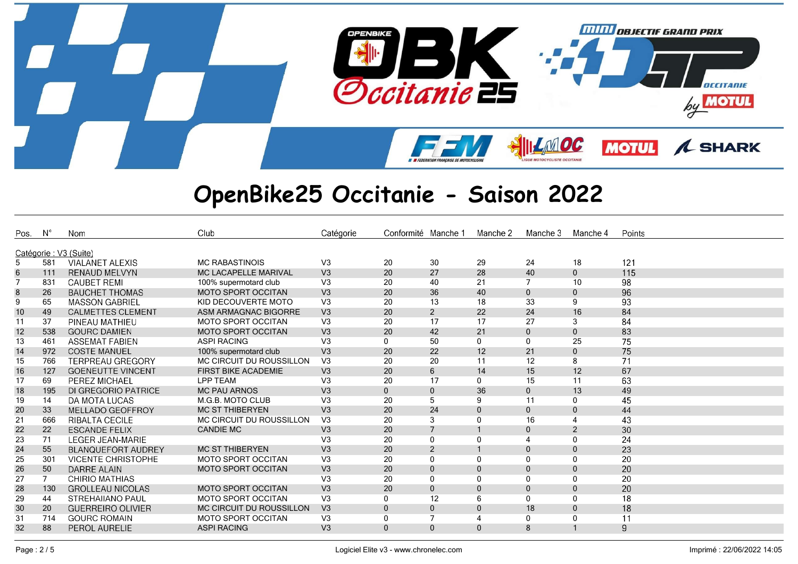

| Pos. | $N^{\circ}$ | <b>Nom</b>                | Club                        | Catégorie      | Conformité Manche 1 |                | Manche 2     | Manche 3     | Manche 4     | Points |
|------|-------------|---------------------------|-----------------------------|----------------|---------------------|----------------|--------------|--------------|--------------|--------|
|      |             | Catégorie : V3 (Suite)    |                             |                |                     |                |              |              |              |        |
| 5    | 581         | <b>VIALANET ALEXIS</b>    | <b>MC RABASTINOIS</b>       | V <sub>3</sub> | 20                  | 30             | 29           | 24           | 18           | 121    |
| 6    | 111         | <b>RENAUD MELVYN</b>      | <b>MC LACAPELLE MARIVAL</b> | V3             | 20                  | 27             | 28           | 40           | $\mathbf 0$  | 115    |
|      | 831         | <b>CAUBET REMI</b>        | 100% supermotard club       | V <sub>3</sub> | 20                  | 40             | 21           | 7            | 10           | 98     |
| 8    | 26          | <b>BAUCHET THOMAS</b>     | <b>MOTO SPORT OCCITAN</b>   | V <sub>3</sub> | 20                  | 36             | 40           | $\mathbf{0}$ | $\mathbf 0$  | 96     |
| 9    | 65          | <b>MASSON GABRIEL</b>     | KID DECOUVERTE MOTO         | V <sub>3</sub> | 20                  | 13             | 18           | 33           | 9            | 93     |
| 10   | 49          | <b>CALMETTES CLEMENT</b>  | ASM ARMAGNAC BIGORRE        | V <sub>3</sub> | 20                  | 2              | 22           | 24           | 16           | 84     |
| 11   | 37          | PINEAU MATHIEU            | <b>MOTO SPORT OCCITAN</b>   | V <sub>3</sub> | 20                  | 17             | 17           | 27           | 3            | 84     |
| 12   | 538         | <b>GOURC DAMIEN</b>       | <b>MOTO SPORT OCCITAN</b>   | V <sub>3</sub> | 20                  | 42             | 21           | $\mathbf{0}$ | $\mathbf{0}$ | 83     |
| 13   | 461         | <b>ASSEMAT FABIEN</b>     | <b>ASPI RACING</b>          | V <sub>3</sub> | 0                   | 50             | $\mathbf{0}$ | $\mathbf{0}$ | 25           | 75     |
| 14   | 972         | <b>COSTE MANUEL</b>       | 100% supermotard club       | V3             | 20                  | 22             | 12           | 21           | $\mathbf 0$  | 75     |
| 15   | 766         | <b>TERPREAU GREGORY</b>   | MC CIRCUIT DU ROUSSILLON    | V <sub>3</sub> | 20                  | 20             | 11           | 12           | 8            | 71     |
| 16   | 127         | <b>GOENEUTTE VINCENT</b>  | <b>FIRST BIKE ACADEMIE</b>  | V <sub>3</sub> | 20                  | $6^{\circ}$    | 14           | 15           | 12           | 67     |
| 17   | 69          | PEREZ MICHAEL             | LPP TEAM                    | V <sub>3</sub> | 20                  | 17             | $\mathbf{0}$ | 15           | 11           | 63     |
| 18   | 195         | DI GREGORIO PATRICE       | <b>MC PAU ARNOS</b>         | V3             | 0                   | $\overline{0}$ | 36           | $\mathbf{0}$ | 13           | 49     |
| 19   | 14          | DA MOTA LUCAS             | M.G.B. MOTO CLUB            | V <sub>3</sub> | 20                  | 5              | 9            | 11           | $\mathbf 0$  | 45     |
| 20   | 33          | <b>MELLADO GEOFFROY</b>   | <b>MC ST THIBERYEN</b>      | V <sub>3</sub> | 20                  | 24             | $\Omega$     | $\mathbf{0}$ | $\mathbf 0$  | 44     |
| 21   | 666         | <b>RIBALTA CECILE</b>     | MC CIRCUIT DU ROUSSILLON    | V <sub>3</sub> | 20                  | 3              | 0            | 16           | 4            | 43     |
| 22   | 22          | <b>ESCANDE FELIX</b>      | <b>CANDIE MC</b>            | V <sub>3</sub> | 20                  | $\overline{7}$ |              | $\Omega$     | 2            | 30     |
| 23   | 71          | <b>LEGER JEAN-MARIE</b>   |                             | V <sub>3</sub> | 20                  | 0              | $\Omega$     |              | 0            | 24     |
| 24   | 55          | <b>BLANQUEFORT AUDREY</b> | <b>MC ST THIBERYEN</b>      | V3             | 20                  | $\overline{2}$ |              | $\mathbf{0}$ | $\mathbf 0$  | 23     |
| 25   | 301         | <b>VICENTE CHRISTOPHE</b> | <b>MOTO SPORT OCCITAN</b>   | V <sub>3</sub> | 20                  | $\mathbf 0$    | 0            | $\Omega$     | 0            | 20     |
| 26   | 50          | DARRE ALAIN               | <b>MOTO SPORT OCCITAN</b>   | V <sub>3</sub> | 20                  | $\mathbf 0$    | $\Omega$     | $\Omega$     | $\mathbf 0$  | 20     |
| 27   | $7^{\circ}$ | CHIRIO MATHIAS            |                             | V <sub>3</sub> | 20                  | $\mathbf{0}$   | 0            | $\mathbf{0}$ | $\mathbf 0$  | 20     |
| 28   | 130         | <b>GROLLEAU NICOLAS</b>   | <b>MOTO SPORT OCCITAN</b>   | V <sub>3</sub> | 20                  | $\mathbf{0}$   | $\Omega$     | $\Omega$     | $\mathbf{0}$ | 20     |
| 29   | 44          | <b>STREHAIIANO PAUL</b>   | <b>MOTO SPORT OCCITAN</b>   | V <sub>3</sub> | 0                   | 12             | 6            | $\Omega$     | $\mathbf 0$  | 18     |
| 30   | 20          | <b>GUERREIRO OLIVIER</b>  | MC CIRCUIT DU ROUSSILLON    | V3             | $\overline{0}$      | $\mathbf 0$    | $\Omega$     | 18           | $\mathbf 0$  | 18     |
| 31   | 714         | <b>GOURC ROMAIN</b>       | MOTO SPORT OCCITAN          | V3             | 0                   | $\overline{7}$ |              | 0            | 0            | 11     |
| 32   | 88          | <b>PEROL AURELIE</b>      | <b>ASPI RACING</b>          | V <sub>3</sub> | $\overline{0}$      | $\mathbf{0}$   | $\Omega$     | 8            | $\mathbf{1}$ | 9      |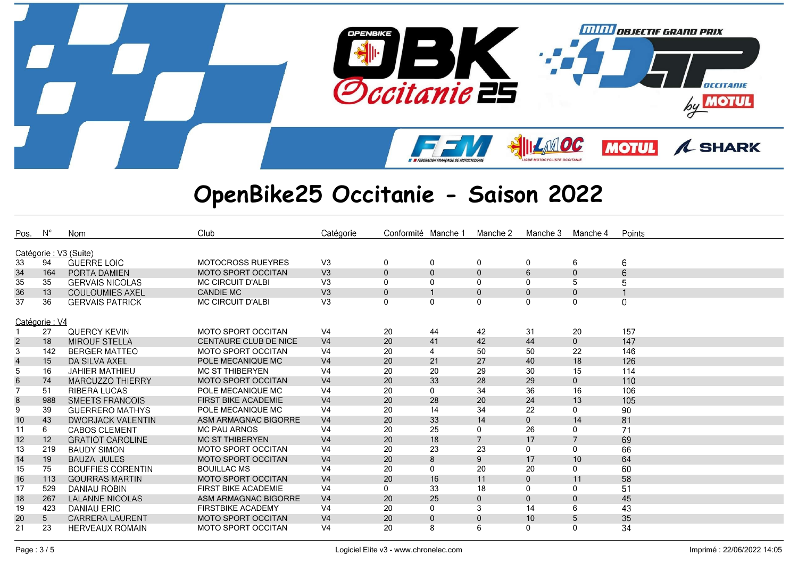

| Pos.                    | $N^{\circ}$ | Nom                      | Club                         | Catégorie      | Conformité Manche |              | Manche 2       | Manche 3     | Manche 4       | Points   |
|-------------------------|-------------|--------------------------|------------------------------|----------------|-------------------|--------------|----------------|--------------|----------------|----------|
|                         |             | Catégorie : V3 (Suite)   |                              |                |                   |              |                |              |                |          |
| 33                      | 94          | <b>GUERRE LOIC</b>       | <b>MOTOCROSS RUEYRES</b>     | V <sub>3</sub> | 0                 | 0            | $\mathbf 0$    | $\mathbf{0}$ | 6              | 6        |
| 34                      | 164         | PORTA DAMIEN             | <b>MOTO SPORT OCCITAN</b>    | V3             | $\mathbf 0$       | $\mathbf 0$  | $\mathbf 0$    | 6            | $\mathbf 0$    | 6        |
| 35                      | 35          | <b>GERVAIS NICOLAS</b>   | <b>MC CIRCUIT D'ALBI</b>     | V <sub>3</sub> | $\mathbf{0}$      | 0            | $\Omega$       | $\Omega$     | 5              | 5        |
| 36                      | 13          | <b>COULOUMIES AXEL</b>   | <b>CANDIE MC</b>             | V <sub>3</sub> | $\mathbf{0}$      | $\mathbf{1}$ | $\mathbf{0}$   | $\Omega$     | $\mathbf{0}$   |          |
| 37                      | 36          | <b>GERVAIS PATRICK</b>   | <b>MC CIRCUIT D'ALBI</b>     | V <sub>3</sub> | 0                 | 0            | $\Omega$       | $\mathbf 0$  | 0              | $\Omega$ |
|                         |             |                          |                              |                |                   |              |                |              |                |          |
| Catégorie: V4           |             |                          |                              |                |                   |              |                |              |                |          |
|                         | 27          | <b>QUERCY KEVIN</b>      | <b>MOTO SPORT OCCITAN</b>    | V <sub>4</sub> | 20                | 44           | 42             | 31           | 20             | 157      |
| $\overline{2}$          | 18          | <b>MIROUF STELLA</b>     | <b>CENTAURE CLUB DE NICE</b> | V <sub>4</sub> | 20                | 41           | 42             | 44           | $\mathbf 0$    | 147      |
| 3                       | 142         | <b>BERGER MATTEO</b>     | <b>MOTO SPORT OCCITAN</b>    | V <sub>4</sub> | 20                | 4            | 50             | 50           | 22             | 146      |
| $\overline{\mathbf{4}}$ | 15          | DA SILVA AXEL            | POLE MECANIQUE MC            | V <sub>4</sub> | 20                | 21           | 27             | 40           | 18             | 126      |
| $\overline{5}$          | 16          | <b>JAHIER MATHIEU</b>    | <b>MC ST THIBERYEN</b>       | V <sub>4</sub> | 20                | 20           | 29             | 30           | 15             | 114      |
| $\,6$                   | 74          | MARCUZZO THIERRY         | <b>MOTO SPORT OCCITAN</b>    | V <sub>4</sub> | 20                | 33           | 28             | 29           | $\mathbf 0$    | 110      |
| $\overline{7}$          | 51          | <b>RIBERA LUCAS</b>      | POLE MECANIQUE MC            | V <sub>4</sub> | 20                | $\mathbf 0$  | 34             | 36           | 16             | 106      |
| 8                       | 988         | SMEETS FRANCOIS          | <b>FIRST BIKE ACADEMIE</b>   | V <sub>4</sub> | 20                | 28           | 20             | 24           | 13             | 105      |
| 9                       | 39          | <b>GUERRERO MATHYS</b>   | POLE MECANIQUE MC            | V <sub>4</sub> | 20                | 14           | 34             | 22           | $\mathbf{0}$   | 90       |
| $10$                    | 43          | <b>DWORJACK VALENTIN</b> | ASM ARMAGNAC BIGORRE         | V <sub>4</sub> | 20                | 33           | 14             | $\mathbf{0}$ | 14             | 81       |
| 11                      | 6           | <b>CABOS CLEMENT</b>     | <b>MC PAU ARNOS</b>          | V <sub>4</sub> | 20                | 25           | $\Omega$       | 26           | $\mathbf 0$    | 71       |
| 12                      | 12          | <b>GRATIOT CAROLINE</b>  | <b>MC ST THIBERYEN</b>       | V <sub>4</sub> | 20                | 18           | $\overline{7}$ | 17           | $\overline{7}$ | 69       |
| 13                      | 219         | <b>BAUDY SIMON</b>       | <b>MOTO SPORT OCCITAN</b>    | V <sub>4</sub> | 20                | 23           | 23             | 0            | $\mathbf 0$    | 66       |
| 14                      | 19          | <b>BAUZA JULES</b>       | <b>MOTO SPORT OCCITAN</b>    | V <sub>4</sub> | 20                | 8            | 9              | 17           | 10             | 64       |
| 15                      | 75          | <b>BOUFFIES CORENTIN</b> | <b>BOUILLAC MS</b>           | V <sub>4</sub> | 20                | $\mathbf{0}$ | 20             | 20           | 0              | 60       |
| 16                      | 113         | <b>GOURRAS MARTIN</b>    | <b>MOTO SPORT OCCITAN</b>    | V <sub>4</sub> | 20                | 16           | 11             | $\mathbf{0}$ | 11             | 58       |
| 17                      | 529         | DANIAU ROBIN             | <b>FIRST BIKE ACADEMIE</b>   | V <sub>4</sub> | 0                 | 33           | 18             | $\mathbf{0}$ | $\mathbf{0}$   | 51       |
| 18                      | 267         | <b>LALANNE NICOLAS</b>   | ASM ARMAGNAC BIGORRE         | V <sub>4</sub> | 20                | 25           | $\mathbf{0}$   | $\Omega$     | $\mathbf 0$    | 45       |
| 19                      | 423         | <b>DANIAU ERIC</b>       | <b>FIRSTBIKE ACADEMY</b>     | V <sub>4</sub> | 20                | $\mathbf 0$  | 3              | 14           | 6              | 43       |
| 20                      | 5           | <b>CARRERA LAURENT</b>   | <b>MOTO SPORT OCCITAN</b>    | V <sub>4</sub> | 20                | $\mathbf 0$  | $\mathbf{0}$   | 10           | 5              | 35       |
| 21                      | 23          | <b>HERVEAUX ROMAIN</b>   | <b>MOTO SPORT OCCITAN</b>    | V <sub>4</sub> | 20                | 8            | 6              | $\Omega$     | $\mathbf{0}$   | 34       |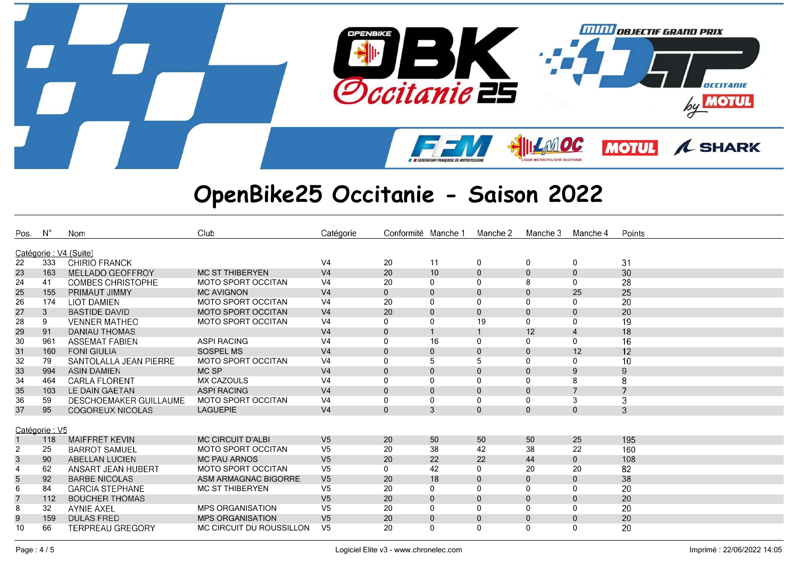

| Pos.             | $N^{\circ}$   | Nom                                            | Club                      | Catégorie      | Conformité Manche 1 |              | Manche 2     | Manche 3       | Manche 4       | Points |
|------------------|---------------|------------------------------------------------|---------------------------|----------------|---------------------|--------------|--------------|----------------|----------------|--------|
|                  |               |                                                |                           |                |                     |              |              |                |                |        |
|                  | 333           | Catégorie : V4 (Suite)<br><b>CHIRIO FRANCK</b> |                           | V <sub>4</sub> |                     | 11           |              |                |                |        |
| 22               |               |                                                |                           |                | 20                  |              | 0            | $\mathbf 0$    | 0              | 31     |
| 23               | 163           | MELLADO GEOFFROY                               | <b>MC ST THIBERYEN</b>    | V <sub>4</sub> | 20                  | 10           | $\mathbf 0$  | $\Omega$       | $\mathbf 0$    | 30     |
| 24               | 41            | <b>COMBES CHRISTOPHE</b>                       | <b>MOTO SPORT OCCITAN</b> | V <sub>4</sub> | 20                  | $\mathbf 0$  | $\mathbf{0}$ | 8              | 0              | 28     |
| 25               | 155           | PRIMAUT JIMMY                                  | <b>MC AVIGNON</b>         | V <sub>4</sub> | $\mathbf{0}$        | $\mathbf{0}$ | $\Omega$     | $\Omega$       | 25             | 25     |
| 26               | 174           | <b>LIOT DAMIEN</b>                             | <b>MOTO SPORT OCCITAN</b> | V <sub>4</sub> | 20                  | 0            | 0            | $\Omega$       | 0              | 20     |
| 27               | 3             | <b>BASTIDE DAVID</b>                           | <b>MOTO SPORT OCCITAN</b> | V <sub>4</sub> | 20                  | $\mathbf{0}$ | $\mathbf{0}$ | $\Omega$       | $\mathbf{0}$   | 20     |
| 28               | 9             | <b>VENNER MATHEO</b>                           | <b>MOTO SPORT OCCITAN</b> | V <sub>4</sub> | 0                   | 0            | 19           | $\Omega$       | 0              | 19     |
| 29               | 91            | <b>DANIAU THOMAS</b>                           |                           | V <sub>4</sub> | $\mathbf{0}$        | $\mathbf{1}$ |              | 12             | $\overline{4}$ | 18     |
| 30               | 961           | <b>ASSEMAT FABIEN</b>                          | <b>ASPI RACING</b>        | V <sub>4</sub> | 0                   | 16           | 0            | $\Omega$       | 0              | 16     |
| 31               | 160           | <b>FONI GIULIA</b>                             | SOSPEL MS                 | V <sub>4</sub> | $\mathbf{0}$        | $\mathbf{0}$ | $\mathbf{0}$ | $\Omega$       | 12             | 12     |
| 32               | 79            | SANTOLALLA JEAN PIERRE                         | <b>MOTO SPORT OCCITAN</b> | V <sub>4</sub> | 0                   | 5            | 5            | $\Omega$       | 0              | 10     |
| 33               | 994           | <b>ASIN DAMIEN</b>                             | MC SP                     | V <sub>4</sub> | $\mathbf{0}$        | $\mathbf{0}$ | $\mathbf{0}$ | $\Omega$       | 9              | 9      |
| 34               | 464           | <b>CARLA FLORENT</b>                           | <b>MX CAZOULS</b>         | V <sub>4</sub> | 0                   | $\mathbf{0}$ | 0            | $\Omega$       | 8              | 8      |
| 35               | 103           | LE DAIN GAETAN                                 | <b>ASPI RACING</b>        | V <sub>4</sub> | $\mathbf{0}$        | $\mathbf{0}$ | $\mathbf{0}$ | $\Omega$       | $\overline{7}$ | 7      |
| 36               | 59            | <b>DESCHOEMAKER GUILLAUME</b>                  | <b>MOTO SPORT OCCITAN</b> | V <sub>4</sub> | 0                   | 0            | 0            | $\Omega$       | 3              | 3      |
| 37               | 95            | COGOREUX NICOLAS                               | <b>LAGUEPIE</b>           | V <sub>4</sub> | $\mathbf{0}$        | 3            | $\Omega$     | $\Omega$       | $\mathbf{0}$   | 3      |
|                  |               |                                                |                           |                |                     |              |              |                |                |        |
|                  | Catégorie: V5 |                                                |                           |                |                     |              |              |                |                |        |
|                  | 118           | <b>MAIFFRET KEVIN</b>                          | <b>MC CIRCUIT D'ALBI</b>  | V <sub>5</sub> | 20                  | 50           | 50           | 50             | 25             | 195    |
| $\overline{2}$   | 25            | <b>BARROT SAMUEL</b>                           | <b>MOTO SPORT OCCITAN</b> | V <sub>5</sub> | 20                  | 38           | 42           | 38             | 22             | 160    |
| $\sqrt{3}$       | 90            | <b>ABELLAN LUCIEN</b>                          | <b>MC PAU ARNOS</b>       | V <sub>5</sub> | 20                  | 22           | 22           | 44             | $\mathbf{0}$   | 108    |
| $\overline{4}$   | 62            | ANSART JEAN HUBERT                             | <b>MOTO SPORT OCCITAN</b> | V <sub>5</sub> | 0                   | 42           | 0            | 20             | 20             | 82     |
| $\sqrt{5}$       | 92            | <b>BARBE NICOLAS</b>                           | ASM ARMAGNAC BIGORRE      | V <sub>5</sub> | 20                  | 18           | $\Omega$     | $\mathbf{0}$   | $\mathbf{0}$   | 38     |
| 6                | 84            | <b>GARCIA STEPHANE</b>                         | <b>MC ST THIBERYEN</b>    | V <sub>5</sub> | 20                  | $\mathbf 0$  | 0            |                | 0              | 20     |
| $\overline{7}$   | 112           | <b>BOUCHER THOMAS</b>                          |                           | V <sub>5</sub> | 20                  | $\mathbf{0}$ | $\Omega$     | $\Omega$       | $\mathbf 0$    | 20     |
| 8                | 32            | <b>AYNIE AXEL</b>                              | <b>MPS ORGANISATION</b>   | V <sub>5</sub> | 20                  | $\mathbf 0$  | $\mathbf{0}$ | $\Omega$       | 0              | 20     |
| $\boldsymbol{9}$ | 159           | <b>DULAS FRED</b>                              | <b>MPS ORGANISATION</b>   | V <sub>5</sub> | 20                  | $\mathbf 0$  | $\mathbf 0$  | $\overline{0}$ | $\pmb{0}$      | 20     |
| 10               | 66            | <b>TERPREAU GREGORY</b>                        | MC CIRCUIT DU ROUSSILLON  | V <sub>5</sub> | 20                  | $\mathbf{0}$ | 0            | $\Omega$       | 0              | 20     |
|                  |               |                                                |                           |                |                     |              |              |                |                |        |